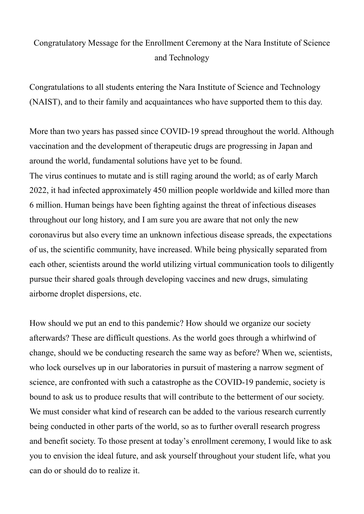## Congratulatory Message for the Enrollment Ceremony at the Nara Institute of Science and Technology

Congratulations to all students entering the Nara Institute of Science and Technology (NAIST), and to their family and acquaintances who have supported them to this day.

More than two years has passed since COVID-19 spread throughout the world. Although vaccination and the development of therapeutic drugs are progressing in Japan and around the world, fundamental solutions have yet to be found.

The virus continues to mutate and is still raging around the world; as of early March 2022, it had infected approximately 450 million people worldwide and killed more than 6 million. Human beings have been fighting against the threat of infectious diseases throughout our long history, and I am sure you are aware that not only the new coronavirus but also every time an unknown infectious disease spreads, the expectations of us, the scientific community, have increased. While being physically separated from each other, scientists around the world utilizing virtual communication tools to diligently pursue their shared goals through developing vaccines and new drugs, simulating airborne droplet dispersions, etc.

How should we put an end to this pandemic? How should we organize our society afterwards? These are difficult questions. As the world goes through a whirlwind of change, should we be conducting research the same way as before? When we, scientists, who lock ourselves up in our laboratories in pursuit of mastering a narrow segment of science, are confronted with such a catastrophe as the COVID-19 pandemic, society is bound to ask us to produce results that will contribute to the betterment of our society. We must consider what kind of research can be added to the various research currently being conducted in other parts of the world, so as to further overall research progress and benefit society. To those present at today's enrollment ceremony, I would like to ask you to envision the ideal future, and ask yourself throughout your student life, what you can do or should do to realize it.